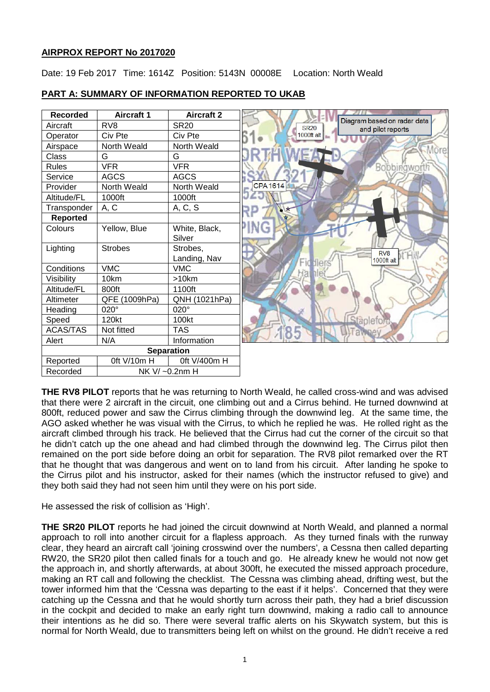## **AIRPROX REPORT No 2017020**

Date: 19 Feb 2017 Time: 1614Z Position: 5143N 00008E Location: North Weald

| <b>Recorded</b>   | <b>Aircraft 1</b> | <b>Aircraft 2</b> |                                                                 |
|-------------------|-------------------|-------------------|-----------------------------------------------------------------|
| Aircraft          | RV <sub>8</sub>   | <b>SR20</b>       | Diagram based on radar data<br><b>SR20</b><br>and pilot reports |
| Operator          | Civ Pte           | Civ Pte           | 1000ft alt                                                      |
| Airspace          | North Weald       | North Weald       | <b>More</b>                                                     |
| <b>Class</b>      | G                 | G                 |                                                                 |
| <b>Rules</b>      | <b>VFR</b>        | <b>VFR</b>        | Bobbingwort!                                                    |
| Service           | <b>AGCS</b>       | <b>AGCS</b>       |                                                                 |
| Provider          | North Weald       | North Weald       | <b>CPA1614</b>                                                  |
| Altitude/FL       | 1000ft            | 1000ft            |                                                                 |
| Transponder       | A, C              | A, C, S           |                                                                 |
| <b>Reported</b>   |                   |                   |                                                                 |
| Colours           | Yellow, Blue      | White, Black,     | ING                                                             |
|                   |                   | Silver            |                                                                 |
| Lighting          | <b>Strobes</b>    | Strobes,          | RV <sub>8</sub>                                                 |
|                   |                   | Landing, Nav      | 1000ft alt<br>Fid flers                                         |
| Conditions        | <b>VMC</b>        | <b>VMC</b>        | Hal                                                             |
| Visibility        | 10km              | >10km             |                                                                 |
| Altitude/FL       | 800ft             | 1100ft            |                                                                 |
| Altimeter         | QFE (1009hPa)     | QNH (1021hPa)     |                                                                 |
| Heading           | 020°              | 020°              |                                                                 |
| Speed             | 120kt             | 100kt             | anlet                                                           |
| <b>ACAS/TAS</b>   | Not fitted        | <b>TAS</b>        | 85                                                              |
| Alert             | N/A               | Information       |                                                                 |
| <b>Separation</b> |                   |                   |                                                                 |
| Reported          | Oft V/10m H       | 0ft V/400m H      |                                                                 |
| Recorded          | NK V/ ~0.2nm H    |                   |                                                                 |

# **PART A: SUMMARY OF INFORMATION REPORTED TO UKAB**

**THE RV8 PILOT** reports that he was returning to North Weald, he called cross-wind and was advised that there were 2 aircraft in the circuit, one climbing out and a Cirrus behind. He turned downwind at 800ft, reduced power and saw the Cirrus climbing through the downwind leg. At the same time, the AGO asked whether he was visual with the Cirrus, to which he replied he was. He rolled right as the aircraft climbed through his track. He believed that the Cirrus had cut the corner of the circuit so that he didn't catch up the one ahead and had climbed through the downwind leg. The Cirrus pilot then remained on the port side before doing an orbit for separation. The RV8 pilot remarked over the RT that he thought that was dangerous and went on to land from his circuit. After landing he spoke to the Cirrus pilot and his instructor, asked for their names (which the instructor refused to give) and they both said they had not seen him until they were on his port side.

He assessed the risk of collision as 'High'.

**THE SR20 PILOT** reports he had joined the circuit downwind at North Weald, and planned a normal approach to roll into another circuit for a flapless approach. As they turned finals with the runway clear, they heard an aircraft call 'joining crosswind over the numbers', a Cessna then called departing RW20, the SR20 pilot then called finals for a touch and go. He already knew he would not now get the approach in, and shortly afterwards, at about 300ft, he executed the missed approach procedure, making an RT call and following the checklist. The Cessna was climbing ahead, drifting west, but the tower informed him that the 'Cessna was departing to the east if it helps'. Concerned that they were catching up the Cessna and that he would shortly turn across their path, they had a brief discussion in the cockpit and decided to make an early right turn downwind, making a radio call to announce their intentions as he did so. There were several traffic alerts on his Skywatch system, but this is normal for North Weald, due to transmitters being left on whilst on the ground. He didn't receive a red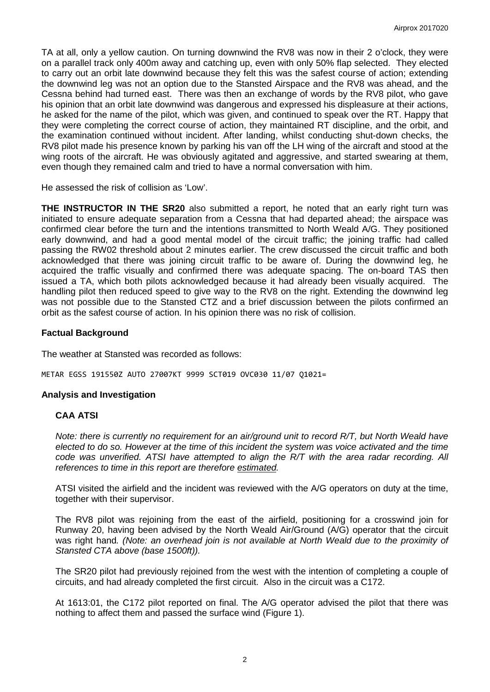TA at all, only a yellow caution. On turning downwind the RV8 was now in their 2 o'clock, they were on a parallel track only 400m away and catching up, even with only 50% flap selected. They elected to carry out an orbit late downwind because they felt this was the safest course of action; extending the downwind leg was not an option due to the Stansted Airspace and the RV8 was ahead, and the Cessna behind had turned east. There was then an exchange of words by the RV8 pilot, who gave his opinion that an orbit late downwind was dangerous and expressed his displeasure at their actions, he asked for the name of the pilot, which was given, and continued to speak over the RT. Happy that they were completing the correct course of action, they maintained RT discipline, and the orbit, and the examination continued without incident. After landing, whilst conducting shut-down checks, the RV8 pilot made his presence known by parking his van off the LH wing of the aircraft and stood at the wing roots of the aircraft. He was obviously agitated and aggressive, and started swearing at them, even though they remained calm and tried to have a normal conversation with him.

He assessed the risk of collision as 'Low'.

**THE INSTRUCTOR IN THE SR20** also submitted a report, he noted that an early right turn was initiated to ensure adequate separation from a Cessna that had departed ahead; the airspace was confirmed clear before the turn and the intentions transmitted to North Weald A/G. They positioned early downwind, and had a good mental model of the circuit traffic; the joining traffic had called passing the RW02 threshold about 2 minutes earlier. The crew discussed the circuit traffic and both acknowledged that there was joining circuit traffic to be aware of. During the downwind leg, he acquired the traffic visually and confirmed there was adequate spacing. The on-board TAS then issued a TA, which both pilots acknowledged because it had already been visually acquired. The handling pilot then reduced speed to give way to the RV8 on the right. Extending the downwind leg was not possible due to the Stansted CTZ and a brief discussion between the pilots confirmed an orbit as the safest course of action. In his opinion there was no risk of collision.

## **Factual Background**

The weather at Stansted was recorded as follows:

METAR EGSS 191550Z AUTO 27007KT 9999 SCT019 OVC030 11/07 Q1021=

#### **Analysis and Investigation**

#### **CAA ATSI**

*Note: there is currently no requirement for an air/ground unit to record R/T, but North Weald have elected to do so. However at the time of this incident the system was voice activated and the time code was unverified. ATSI have attempted to align the R/T with the area radar recording. All references to time in this report are therefore estimated.*

ATSI visited the airfield and the incident was reviewed with the A/G operators on duty at the time, together with their supervisor.

The RV8 pilot was rejoining from the east of the airfield, positioning for a crosswind join for Runway 20, having been advised by the North Weald Air/Ground (A/G) operator that the circuit was right hand*. (Note: an overhead join is not available at North Weald due to the proximity of Stansted CTA above (base 1500ft)).*

The SR20 pilot had previously rejoined from the west with the intention of completing a couple of circuits, and had already completed the first circuit. Also in the circuit was a C172.

At 1613:01, the C172 pilot reported on final. The A/G operator advised the pilot that there was nothing to affect them and passed the surface wind (Figure 1).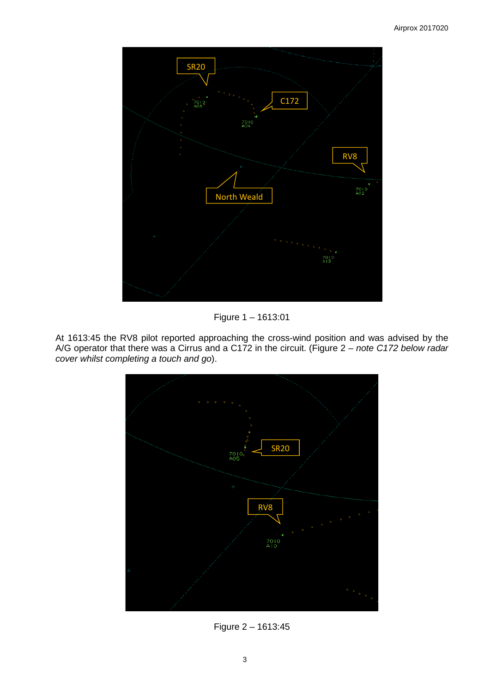

Figure 1 – 1613:01

At 1613:45 the RV8 pilot reported approaching the cross-wind position and was advised by the A/G operator that there was a Cirrus and a C172 in the circuit. (Figure 2 – *note C172 below radar cover whilst completing a touch and go*).



Figure 2 – 1613:45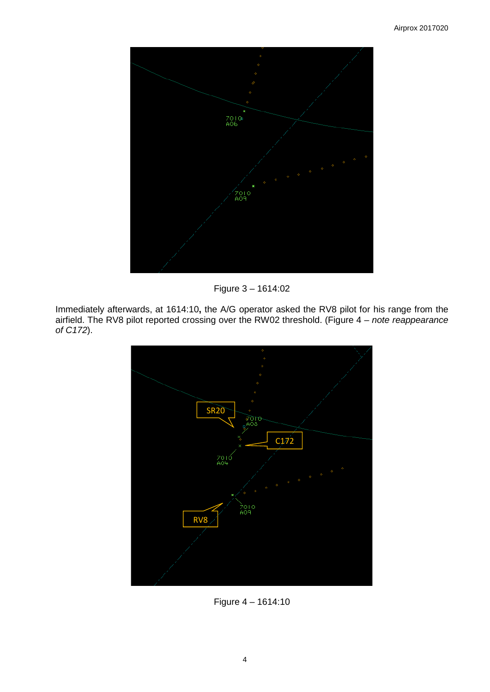

Figure 3 – 1614:02

Immediately afterwards, at 1614:10**,** the A/G operator asked the RV8 pilot for his range from the airfield. The RV8 pilot reported crossing over the RW02 threshold. (Figure 4 – *note reappearance of C172*).



Figure 4 – 1614:10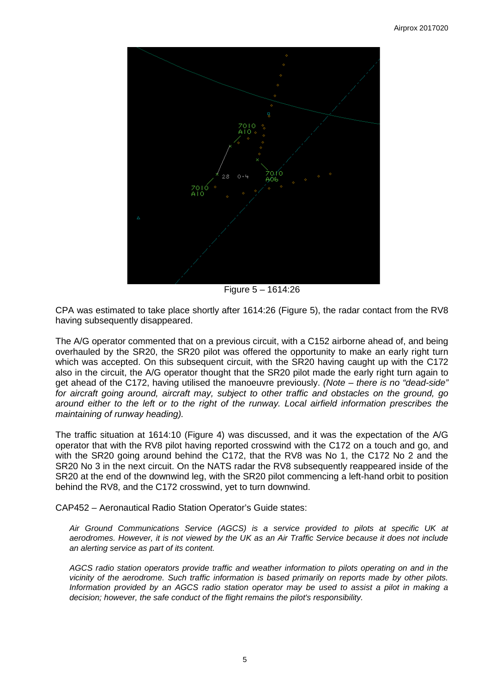

Figure 5 – 1614:26

CPA was estimated to take place shortly after 1614:26 (Figure 5), the radar contact from the RV8 having subsequently disappeared.

The A/G operator commented that on a previous circuit, with a C152 airborne ahead of, and being overhauled by the SR20, the SR20 pilot was offered the opportunity to make an early right turn which was accepted. On this subsequent circuit, with the SR20 having caught up with the C172 also in the circuit, the A/G operator thought that the SR20 pilot made the early right turn again to get ahead of the C172, having utilised the manoeuvre previously. *(Note – there is no "dead-side" for aircraft going around, aircraft may, subject to other traffic and obstacles on the ground, go around either to the left or to the right of the runway. Local airfield information prescribes the maintaining of runway heading).*

The traffic situation at 1614:10 (Figure 4) was discussed, and it was the expectation of the A/G operator that with the RV8 pilot having reported crosswind with the C172 on a touch and go, and with the SR20 going around behind the C172, that the RV8 was No 1, the C172 No 2 and the SR20 No 3 in the next circuit. On the NATS radar the RV8 subsequently reappeared inside of the SR20 at the end of the downwind leg, with the SR20 pilot commencing a left-hand orbit to position behind the RV8, and the C172 crosswind, yet to turn downwind.

CAP452 – Aeronautical Radio Station Operator's Guide states:

*Air Ground Communications Service (AGCS) is a service provided to pilots at specific UK at aerodromes. However, it is not viewed by the UK as an Air Traffic Service because it does not include an alerting service as part of its content.* 

*AGCS radio station operators provide traffic and weather information to pilots operating on and in the vicinity of the aerodrome. Such traffic information is based primarily on reports made by other pilots. Information provided by an AGCS radio station operator may be used to assist a pilot in making a decision; however, the safe conduct of the flight remains the pilot's responsibility.*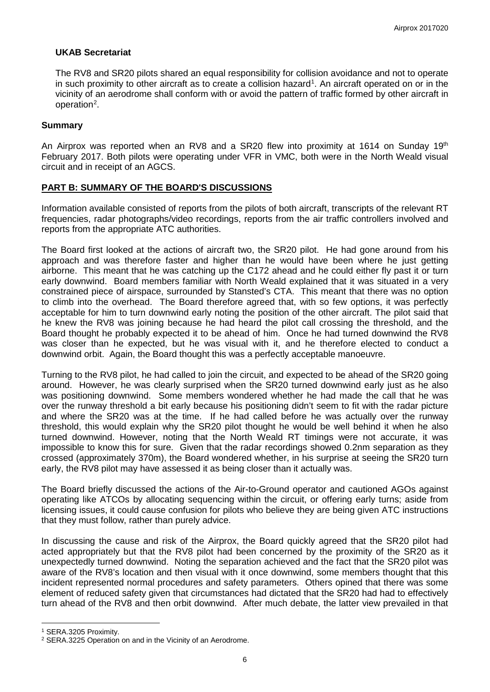## **UKAB Secretariat**

The RV8 and SR20 pilots shared an equal responsibility for collision avoidance and not to operate in such proximity to other aircraft as to create a collision hazard<sup>[1](#page-5-0)</sup>. An aircraft operated on or in the vicinity of an aerodrome shall conform with or avoid the pattern of traffic formed by other aircraft in operation<sup>[2](#page-5-1)</sup>.

#### **Summary**

An Airprox was reported when an RV8 and a SR20 flew into proximity at 1614 on Sunday 19th February 2017. Both pilots were operating under VFR in VMC, both were in the North Weald visual circuit and in receipt of an AGCS.

## **PART B: SUMMARY OF THE BOARD'S DISCUSSIONS**

Information available consisted of reports from the pilots of both aircraft, transcripts of the relevant RT frequencies, radar photographs/video recordings, reports from the air traffic controllers involved and reports from the appropriate ATC authorities.

The Board first looked at the actions of aircraft two, the SR20 pilot. He had gone around from his approach and was therefore faster and higher than he would have been where he just getting airborne. This meant that he was catching up the C172 ahead and he could either fly past it or turn early downwind. Board members familiar with North Weald explained that it was situated in a very constrained piece of airspace, surrounded by Stansted's CTA. This meant that there was no option to climb into the overhead. The Board therefore agreed that, with so few options, it was perfectly acceptable for him to turn downwind early noting the position of the other aircraft. The pilot said that he knew the RV8 was joining because he had heard the pilot call crossing the threshold, and the Board thought he probably expected it to be ahead of him. Once he had turned downwind the RV8 was closer than he expected, but he was visual with it, and he therefore elected to conduct a downwind orbit. Again, the Board thought this was a perfectly acceptable manoeuvre.

Turning to the RV8 pilot, he had called to join the circuit, and expected to be ahead of the SR20 going around. However, he was clearly surprised when the SR20 turned downwind early just as he also was positioning downwind. Some members wondered whether he had made the call that he was over the runway threshold a bit early because his positioning didn't seem to fit with the radar picture and where the SR20 was at the time. If he had called before he was actually over the runway threshold, this would explain why the SR20 pilot thought he would be well behind it when he also turned downwind. However, noting that the North Weald RT timings were not accurate, it was impossible to know this for sure. Given that the radar recordings showed 0.2nm separation as they crossed (approximately 370m), the Board wondered whether, in his surprise at seeing the SR20 turn early, the RV8 pilot may have assessed it as being closer than it actually was.

The Board briefly discussed the actions of the Air-to-Ground operator and cautioned AGOs against operating like ATCOs by allocating sequencing within the circuit, or offering early turns; aside from licensing issues, it could cause confusion for pilots who believe they are being given ATC instructions that they must follow, rather than purely advice.

In discussing the cause and risk of the Airprox, the Board quickly agreed that the SR20 pilot had acted appropriately but that the RV8 pilot had been concerned by the proximity of the SR20 as it unexpectedly turned downwind. Noting the separation achieved and the fact that the SR20 pilot was aware of the RV8's location and then visual with it once downwind, some members thought that this incident represented normal procedures and safety parameters. Others opined that there was some element of reduced safety given that circumstances had dictated that the SR20 had had to effectively turn ahead of the RV8 and then orbit downwind. After much debate, the latter view prevailed in that

l

<span id="page-5-0"></span><sup>1</sup> SERA.3205 Proximity.

<span id="page-5-1"></span><sup>2</sup> SERA.3225 Operation on and in the Vicinity of an Aerodrome.